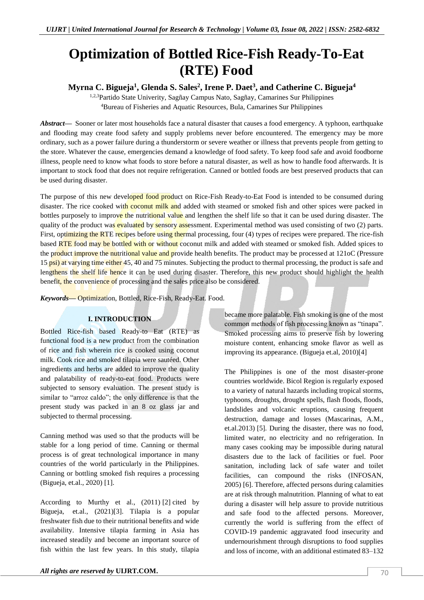# **Optimization of Bottled Rice-Fish Ready-To-Eat (RTE) Food**

# **Myrna C. Bigueja<sup>1</sup> , Glenda S. Sales<sup>2</sup> , Irene P. Daet<sup>3</sup> , and Catherine C. Bigueja<sup>4</sup>**

1,2,3Partido State Univerity, Sagñay Campus Nato, Sagñay, Camarines Sur Philippines <sup>4</sup>Bureau of Fisheries and Aquatic Resources, Bula, Camarines Sur Philippines

*Abstract—* Sooner or later most households face a natural disaster that causes a food emergency. A typhoon, earthquake and flooding may create food safety and supply problems never before encountered. The emergency may be more ordinary, such as a power failure during a thunderstorm or severe weather or illness that prevents people from getting to the store. Whatever the cause, emergencies demand a knowledge of food safety. To keep food safe and avoid foodborne illness, people need to know what foods to store before a natural disaster, as well as how to handle food afterwards. It is important to stock food that does not require refrigeration. Canned or bottled foods are best preserved products that can be used during disaster.

The purpose of this new developed food product on Rice-Fish Ready-to-Eat Food is intended to be consumed during disaster. The rice cooked with coconut milk and added with steamed or smoked fish and other spices were packed in bottles purposely to improve the nutritional value and lengthen the shelf life so that it can be used during disaster. The quality of the product was evaluated by sensory assessment. Experimental method was used consisting of two (2) parts. First, optimizing the RTE recipes before using thermal processing, four (4) types of recipes were prepared. The rice-fish based RTE food may be bottled with or without coconut milk and added with steamed or smoked fish. Added spices to the product improve the nutritional value and provide health benefits. The product may be processed at 121oC (Pressure 15 psi) at varying time either 45, 40 and 75 minutes. Subjecting the product to thermal processing, the product is safe and lengthens the shelf life hence it can be used during disaster. Therefore, this new product should highlight the health benefit, the convenience of processing and the sales price also be considered.

*Keywords—* Optimization, Bottled, Rice-Fish, Ready-Eat. Food.

# **I. INTRODUCTION**

Bottled Rice-fish based Ready-to Eat (RTE) as functional food is a new product from the combination of rice and fish wherein rice is cooked using coconut milk. Cook rice and smoked tilapia were sautéed. Other ingredients and herbs are added to improve the quality and palatability of ready-to-eat food. Products were subjected to sensory evaluation. The present study is similar to "arroz caldo"; the only difference is that the present study was packed in an  $8$  oz glass jar and subjected to thermal processing.

Canning method was used so that the products will be stable for a long period of time. Canning or thermal process is of great technological importance in many countries of the world particularly in the Philippines. Canning or bottling smoked fish requires a processing (Bigueja, et.al., 2020) [1].

According to Murthy et al., (2011) [2] cited by Bigueja, et.al., (2021)[3]. Tilapia is a popular freshwater fish due to their nutritional benefits and wide availability. Intensive tilapia farming in Asia has increased steadily and become an important source of fish within the last few years. In this study, tilapia

*All rights are reserved by UIJRT.COM.*  $\sqrt{70}$ 

became more palatable. Fish smoking is one of the most common methods of fish processing known as "tinapa". Smoked processing aims to preserve fish by lowering moisture content, enhancing smoke flavor as well as improving its appearance. (Bigueja et.al, 2010)[4]

The Philippines is one of the most disaster-prone countries worldwide. Bicol Region is regularly exposed to a variety of natural hazards including tropical storms, typhoons, droughts, drought spells, flash floods, floods, landslides and volcanic eruptions, causing frequent destruction, damage and losses (Mascarinas, A.M., et.al.2013) [5]. During the disaster, there was no food, limited water, no electricity and no refrigeration. In many cases cooking may be impossible during natural disasters due to the lack of facilities or fuel. Poor sanitation, including lack of safe water and toilet facilities, can compound the risks (INFOSAN, 2005) [6]. Therefore, affected persons during calamities are at risk through malnutrition. Planning of what to eat during a disaster will help assure to provide nutritious and safe food to the affected persons. Moreover, currently the world is suffering from the effect of COVID-19 pandemic aggravated food insecurity and undernourishment through disruptions to food supplies and loss of income, with an additional estimated 83–132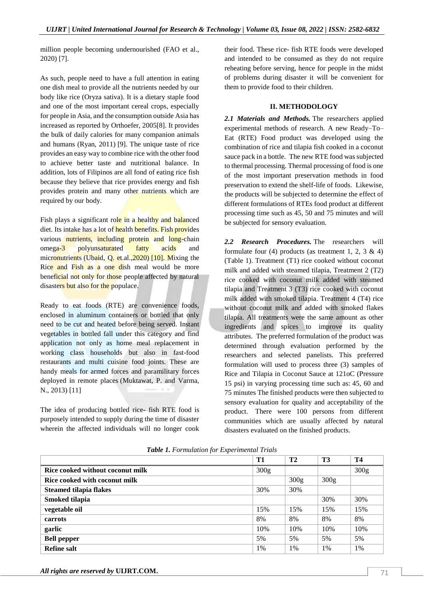million people becoming undernourished (FAO et al., 2020) [7].

As such, people need to have a full attention in eating one dish meal to provide all the nutrients needed by our body like rice (Oryza sativa). It is a dietary staple food and one of the most important cereal crops, especially for people in Asia, and the consumption outside Asia has increased as reported by Orthoefer, 2005[8]. It provides the bulk of daily calories for many companion animals and humans (Ryan, 2011) [9]. The unique taste of rice provides an easy way to combine rice with the other food to achieve better taste and nutritional balance. In addition, lots of Filipinos are all fond of eating rice fish because they believe that rice provides energy and fish provides protein and many other nutrients which are required by our body.

Fish plays a significant role in a healthy and balanced diet. Its intake has a lot of health benefits. Fish provides various nutrients, including protein and long-chain omega-3 polyunsaturated fatty acids and micronutrients (Ubaid, Q. et.al., 2020) [10]. Mixing the Rice and Fish as a one dish meal would be more beneficial not only for those people affected by natural disasters but also for the populace.

Ready to eat foods (RTE) are convenience foods, enclosed in aluminum containers or bottled that only need to be cut and heated before being served. Instant vegetables in bottled fall under this category and find application not only as home meal replacement in working class households but also in fast-food restaurants and multi cuisine food joints. These are handy meals for armed forces and paramilitary forces deployed in remote places (Muktawat, P. and Varma, N., 2013) [11]

The idea of producing bottled rice- fish RTE food is purposely intended to supply during the time of disaster wherein the affected individuals will no longer cook

their food. These rice- fish RTE foods were developed and intended to be consumed as they do not require reheating before serving, hence for people in the midst of problems during disaster it will be convenient for them to provide food to their children.

#### **II. METHODOLOGY**

*2.1 Materials and Methods.* The researchers applied experimental methods of research. A new Ready–To– Eat (RTE) Food product was developed using the combination of rice and tilapia fish cooked in a coconut sauce pack in a bottle. The new RTE food was subjected to thermal processing. Thermal processing of food is one of the most important preservation methods in food preservation to extend the shelf-life of foods. Likewise, the products will be subjected to determine the effect of different formulations of RTEs food product at different processing time such as 45, 50 and 75 minutes and will be subjected for sensory evaluation.

*2.2 Research Procedures.* The researchers will formulate four (4) products (as treatment 1, 2, 3  $\&$  4) (Table 1). Treatment (T1) rice cooked without coconut milk and added with steamed tilapia, Treatment 2 (T2) rice cooked with coconut milk added with steamed tilapia and Treatment 3 (T3) rice cooked with coconut milk added with smoked tilapia. Treatment 4 (T4) rice without coconut milk and added with smoked flakes tilapia. All treatments were the same amount as other ingredients and spices to improve its quality attributes. The preferred formulation of the product was determined through evaluation performed by the researchers and selected panelists. This preferred formulation will used to process three (3) samples of Rice and Tilapia in Coconut Sauce at 121oC (Pressure 15 psi) in varying processing time such as: 45, 60 and 75 minutes The finished products were then subjected to sensory evaluation for quality and acceptability of the product. There were 100 persons from different communities which are usually affected by natural disasters evaluated on the finished products.

|                                  | T1               | T2               | T3   | <b>T4</b> |
|----------------------------------|------------------|------------------|------|-----------|
| Rice cooked without coconut milk | 300 <sub>g</sub> |                  |      | 300g      |
| Rice cooked with coconut milk    |                  | 300 <sub>g</sub> | 300g |           |
| <b>Steamed tilapia flakes</b>    | 30%              | 30%              |      |           |
| Smoked tilapia                   |                  |                  | 30%  | 30%       |
| vegetable oil                    | 15%              | 15%              | 15%  | 15%       |
| carrots                          | 8%               | 8%               | 8%   | 8%        |
| garlic                           | 10%              | 10%              | 10%  | 10%       |
| <b>Bell pepper</b>               | 5%               | 5%               | 5%   | 5%        |
| <b>Refine salt</b>               | 1%               | 1%               | 1%   | 1%        |

*Table 1. Formulation for Experimental Trials*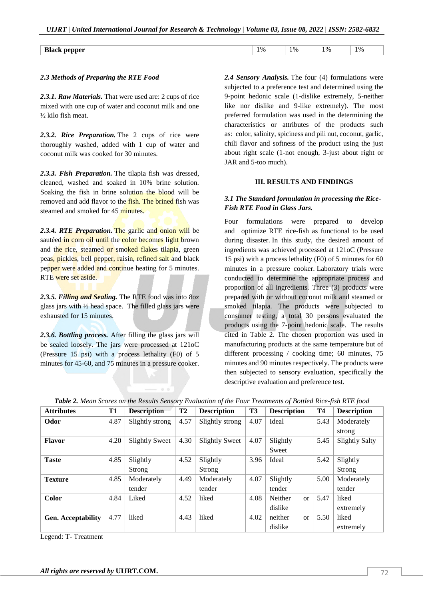| <b>Black</b><br>pepper<br>-- | $^{\bullet}$ $_{\odot}$<br><br>$\overline{\phantom{a}}$ | 10/ | $^{\bullet}$ %<br>/ U<br>. . | 1% |
|------------------------------|---------------------------------------------------------|-----|------------------------------|----|

#### *2.3 Methods of Preparing the RTE Food*

*2.3.1. Raw Materials.* That were used are: 2 cups of rice mixed with one cup of water and coconut milk and one ½ kilo fish meat.

*2.3.2. Rice Preparation.* The 2 cups of rice were thoroughly washed, added with 1 cup of water and coconut milk was cooked for 30 minutes.

*2.3.3. Fish Preparation.* The tilapia fish was dressed, cleaned, washed and soaked in 10% brine solution. Soaking the fish in brine solution the blood will be removed and add flavor to the fish. The brined fish was steamed and smoked for 45 minutes.

*2.3.4. RTE Preparation.* The garlic and onion will be sautéed in corn oil until the color becomes light brown and the rice, steamed or smoked flakes tilapia, green peas, pickles, bell pepper, raisin, refined salt and black pepper were added and continue heating for 5 minutes. RTE were set aside.

*2.3.5. Filling and Sealing.* The RTE food was into 8oz glass jars with ½ head space. The filled glass jars were exhausted for 15 minutes.

*2.3.6. Bottling process.* After filling the glass jars will be sealed loosely. The jars were processed at 121oC (Pressure 15 psi) with a process lethality (F0) of 5 minutes for 45-60, and 75 minutes in a pressure cooker. *2.4 Sensory Analysis.* The four (4) formulations were subjected to a preference test and determined using the 9-point hedonic scale (1-dislike extremely, 5-neither like nor dislike and 9-like extremely). The most preferred formulation was used in the determining the characteristics or attributes of the products such as: color, salinity, spiciness and pili nut, coconut, garlic, chili flavor and softness of the product using the just about right scale (1-not enough, 3-just about right or JAR and 5-too much).

#### **III. RESULTS AND FINDINGS**

#### *3.1 The Standard formulation in processing the Rice-Fish RTE Food in Glass Jars.*

Four formulations were prepared to develop and optimize RTE rice-fish as functional to be used during disaster. In this study, the desired amount of ingredients was achieved processed at 121oC (Pressure 15 psi) with a process lethality (F0) of 5 minutes for 60 minutes in a pressure cooker. Laboratory trials were conducted to determine the appropriate process and proportion of all ingredients. Three (3) products were prepared with or without coconut milk and steamed or smoked tilapia. The products were subjected to consumer testing, a total 30 persons evaluated the products using the 7-point hedonic scale. The results cited in Table 2. The chosen proportion was used in manufacturing products at the same temperature but of different processing / cooking time; 60 minutes, 75 minutes and 90 minutes respectively. The products were then subjected to sensory evaluation, specifically the descriptive evaluation and preference test.

| <b>Attributes</b>         | <b>T1</b> | <b>Description</b>    | T <sub>2</sub> | <b>Description</b>    | <b>T3</b> | <b>Description</b>   | <b>T4</b> | <b>Description</b>    |
|---------------------------|-----------|-----------------------|----------------|-----------------------|-----------|----------------------|-----------|-----------------------|
| Odor                      | 4.87      | Slightly strong       | 4.57           | Slightly strong       | 4.07      | 5.43<br>Ideal        |           | Moderately            |
|                           |           |                       |                |                       |           |                      |           | strong                |
| <b>Flavor</b>             | 4.20      | <b>Slightly Sweet</b> | 4.30           | <b>Slightly Sweet</b> | 4.07      | Slightly             | 5.45      | <b>Slightly Salty</b> |
|                           |           |                       |                |                       |           | Sweet                |           |                       |
| <b>Taste</b>              | 4.85      | Slightly              | 4.52           | Slightly              | 3.96      | Ideal                | 5.42      | Slightly              |
|                           |           | Strong                |                | Strong                |           |                      |           | Strong                |
| <b>Texture</b>            | 4.85      | Moderately            | 4.49           | Moderately            | 4.07      | Slightly             | 5.00      | Moderately            |
|                           |           | tender                |                | tender                |           | tender               |           | tender                |
| Color                     | 4.84      | Liked                 | 4.52           | liked                 | 4.08      | Neither<br><b>or</b> | 5.47      | liked                 |
|                           |           |                       |                |                       |           | dislike              |           | extremely             |
| <b>Gen. Acceptability</b> | 4.77      | liked                 | 4.43           | liked                 | 4.02      | neither<br><b>or</b> | 5.50      | liked                 |
|                           |           |                       |                |                       |           | dislike              |           | extremely             |

| Table 2. Mean Scores on the Results Sensory Evaluation of the Four Treatments of Bottled Rice-fish RTE food |  |  |  |  |  |
|-------------------------------------------------------------------------------------------------------------|--|--|--|--|--|
|-------------------------------------------------------------------------------------------------------------|--|--|--|--|--|

Legend: T- Treatment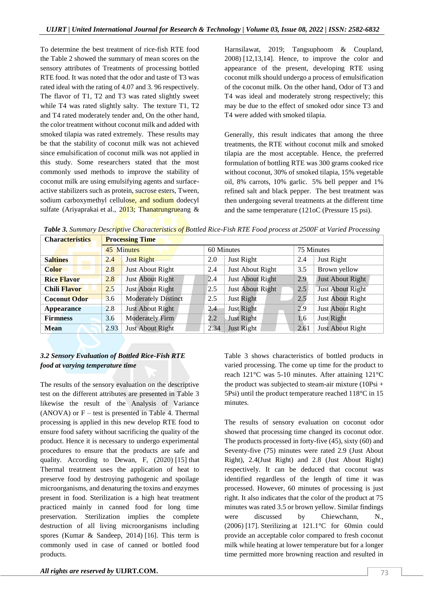To determine the best treatment of rice-fish RTE food the Table 2 showed the summary of mean scores on the sensory attributes of Treatments of processing bottled RTE food. It was noted that the odor and taste of T3 was rated ideal with the rating of 4.07 and 3. 96 respectively. The flavor of T1, T2 and T3 was rated slightly sweet while T4 was rated slightly salty. The texture T1, T2 and T4 rated moderately tender and, On the other hand, the color treatment without coconut milk and added with smoked tilapia was rated extremely. These results may be that the stability of coconut milk was not achieved since emulsification of coconut milk was not applied in this study. Some researchers stated that the most commonly used methods to improve the stability of coconut milk are using emulsifying agents and surfaceactive stabilizers such as protein, sucrose esters, Tween, sodium carboxymethyl cellulose, and sodium dodecyl sulfate (Ariyaprakai et al., 2013; Thanatrungrueang &

Harnsilawat, 2019; Tangsuphoom & Coupland, 2008) [12,13,14]. Hence, to improve the color and appearance of the present, developing RTE using coconut milk should undergo a process of emulsification of the coconut milk. On the other hand, Odor of T3 and T4 was ideal and moderately strong respectively; this may be due to the effect of smoked odor since T3 and T4 were added with smoked tilapia.

Generally, this result indicates that among the three treatments, the RTE without coconut milk and smoked tilapia are the most acceptable. Hence, the preferred formulation of bottling RTE was 300 grams cooked rice without coconut, 30% of smoked tilapia, 15% vegetable oil, 8% carrots, 10% garlic. 5% bell pepper and 1% refined salt and black pepper. The best treatment was then undergoing several treatments at the different time and the same temperature (121oC (Pressure 15 psi).

| <b>Processing Time</b><br><b>Characteristics</b> |            |                            |         |                   |            |                  |  |
|--------------------------------------------------|------------|----------------------------|---------|-------------------|------------|------------------|--|
|                                                  | 45 Minutes |                            |         | 60 Minutes        | 75 Minutes |                  |  |
| <b>Saltines</b>                                  | 2.4        | Just Right                 | 2.0     | Just Right        | 2.4        | Just Right       |  |
| <b>Color</b>                                     | 2.8        | Just About Right           | 2.4     | Just About Right  | 3.5        | Brown yellow     |  |
| <b>Rice Flavor</b>                               | 2.8        | Just About Right           | 2.4     | Just About Right  | 2.9        | Just About Right |  |
| <b>Chili Flavor</b>                              | 2.5        | Just About Right           | 2.5     | Just About Right  | 2.5        | Just About Right |  |
| <b>Coconut Odor</b>                              | 3.6        | <b>Moderately Distinct</b> | 2.5     | Just Right        | 2.5        | Just About Right |  |
| <b>Appearance</b>                                | 2.8        | Just About Right           | 2.4     | Just Right        | 2.9        | Just About Right |  |
| <b>Firmness</b>                                  | 3.6        | Moderately Firm/           | $2.2\,$ | <b>Just Right</b> | 1.6        | Just Right       |  |
| Mean                                             | 2.93       | <b>Just About Right</b>    | 2.34    | Just Right        | 2.61       | Just About Right |  |

*Table 3. Summary Descriptive Characteristics of Bottled Rice-Fish RTE Food process at 2500F at Varied Processing*

# *3.2 Sensory Evaluation of Bottled Rice-Fish RTE food at varying temperature time*

The results of the sensory evaluation on the descriptive test on the different attributes are presented in Table 3 likewise the result of the Analysis of Variance  $(ANOVA)$  or  $F -$  test is presented in Table 4. Thermal processing is applied in this new develop RTE food to ensure food safety without sacrificing the quality of the product. Hence it is necessary to undergo experimental procedures to ensure that the products are safe and quality. According to Dewan, F, (2020) [15] that Thermal treatment uses the application of heat to preserve food by destroying pathogenic and spoilage microorganisms, and denaturing the toxins and enzymes present in food. Sterilization is a high heat treatment practiced mainly in canned food for long time preservation. Sterilization implies the complete destruction of all living microorganisms including spores (Kumar & Sandeep, 2014) [16]. This term is commonly used in case of canned or bottled food products.

Table 3 shows characteristics of bottled products in varied processing. The come up time for the product to reach 121°C was 5-10 minutes. After attaining 121°C the product was subjected to steam-air mixture  $(10Psi +$ 5Psi) until the product temperature reached 118°C in 15 minutes.

The results of sensory evaluation on coconut odor showed that processing time changed its coconut odor. The products processed in forty-five (45), sixty (60) and Seventy-five (75) minutes were rated 2.9 (Just About Right), 2.4(Just Right) and 2.8 (Just About Right) respectively. It can be deduced that coconut was identified regardless of the length of time it was processed. However, 60 minutes of processing is just right. It also indicates that the color of the product at 75 minutes was rated 3.5 or brown yellow. Similar findings were discussed by Chiewchann, N., (2006) [17]. Sterilizing at 121.1°C for 60min could provide an acceptable color compared to fresh coconut milk while heating at lower temperature but for a longer time permitted more browning reaction and resulted in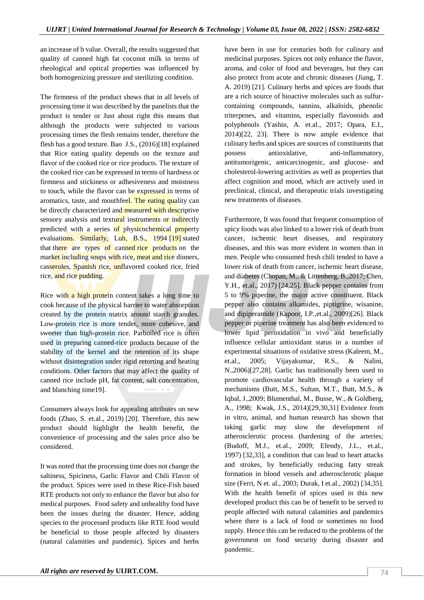an increase of b value. Overall, the results suggested that quality of canned high fat coconut milk in terms of rheological and optical properties was influenced by both homogenizing pressure and sterilizing condition.

The firmness of the product shows that in all levels of processing time it was described by the panelists that the product is tender or Just about right this means that although the products were subjected to various processing times the flesh remains tender, therefore the flesh has a good texture. Bao J.S., (2016)[18] explained that Rice eating quality depends on the texture and flavor of the cooked rice or rice products. The texture of the cooked rice can be expressed in terms of hardness or firmness and stickiness or adhesiveness and moistness to touch, while the flavor can be expressed in terms of aromatics, taste, and mouthfeel. The eating quality can be directly characterized and measured with descriptive sensory analysis and textural instruments or indirectly predicted with a series of physicochemical property evaluations. Similarly, Luh, B.S., 1994 [19] stated that there are types of canned rice products on the market including soups with rice, meat and rice dinners, casseroles, Spanish rice, unflavored cooked rice, fried rice, and rice pudding.

Rice with a high protein content takes a long time to cook because of the physical barrier to water absorption created by the protein matrix around starch granules. Low-protein rice is more tender, more cohesive, and sweeter than high-protein rice. Parboiled rice is often used in preparing canned-rice products because of the stability of the kernel and the retention of its shape without disintegration under rigid retorting and heating conditions. Other factors that may affect the quality of canned rice include pH, fat content, salt concentration, and blanching time19].

Consumers always look for appealing attributes on new foods (Zhao, S. et.al., 2019) [20]. Therefore, this new product should highlight the health benefit, the convenience of processing and the sales price also be considered.

It was noted that the processing time does not change the saltiness, Spiciness, Garlic Flavor and Chili Flavor of the product. Spices were used in these Rice-Fish based RTE products not only to enhance the flavor but also for medical purposes. Food safety and unhealthy food have been the issues during the disaster. Hence, adding species to the processed products like RTE food would be beneficial to those people affected by disasters (natural calamities and pandemic). Spices and herbs

have been in use for centuries both for culinary and medicinal purposes. Spices not only enhance the flavor, aroma, and color of food and beverages, but they can also protect from acute and chronic diseases (Jiang, T. A. 2019) [21]. Culinary herbs and spices are foods that are a rich source of bioactive molecules such as sulfurcontaining compounds, tannins, alkaloids, phenolic triterpenes, and vitamins, especially flavonoids and polyphenols (Yashin, A. et.al., 2017; Opara, E.I., 2014)[22, 23]. There is now ample evidence that culinary herbs and spices are sources of constituents that possess antioxidative, anti-inflammatory, antitumorigenic, anticarcinogenic, and glucose- and cholesterol-lowering activities as well as properties that affect cognition and mood, which are actively used in preclinical, clinical, and therapeutic trials investigating new treatments of diseases.

Furthermore, It was found that frequent consumption of spicy foods was also linked to a lower risk of death from cancer, ischemic heart diseases, and respiratory diseases, and this was more evident in women than in men. People who consumed fresh chili tended to have a lower risk of death from cancer, ischemic heart disease, and diabetes (Chopan, M., & Littenberg, B.,2017; Chen, Y.H., et.al., 2017) [24,25]. Black pepper contains from 5 to 9% piperine, the major active constituent. Black pepper also contains alkamides, piptigrine, wisanine, and dipiperamide (Kapoor, I.P.,et.al., 2009)[26]. Black pepper or piperine treatment has also been evidenced to lower lipid peroxidation in vivo and beneficially influence cellular antioxidant status in a number of experimental situations of oxidative stress (Kaleem, M., et.al., 2005; Vijayakumar, R.S., & Nalini, N.,2006)[27,28]. Garlic has traditionally been used to promote cardiovascular health through a variety of mechanisms (Butt, M.S., Sultan, M.T., Butt, M.S., & Iqbal, J.,2009; Blumenthal, M., Busse, W., & Goldberg, A., 1998; Kwak, J.S., 2014)[29,30,31] Evidence from in vitro, animal, and human research has shown that taking garlic may slow the development of atherosclerotic process (hardening of the arteries; (Budoff, M.J., et.al., 2009; Efendy, J.L., et.al., 1997) [32,33], a condition that can lead to heart attacks and strokes, by beneficially reducing fatty streak formation in blood vessels and atherosclerotic plaque size (Ferri, N et. al., 2003; Durak, I et.al., 2002) [34,35]. With the health benefit of spices used in this new developed product this can be of benefit to be served to people affected with natural calamities and pandemics where there is a lack of food or sometimes no food supply. Hence this can be reduced to the problems of the government on food security during disaster and pandemic.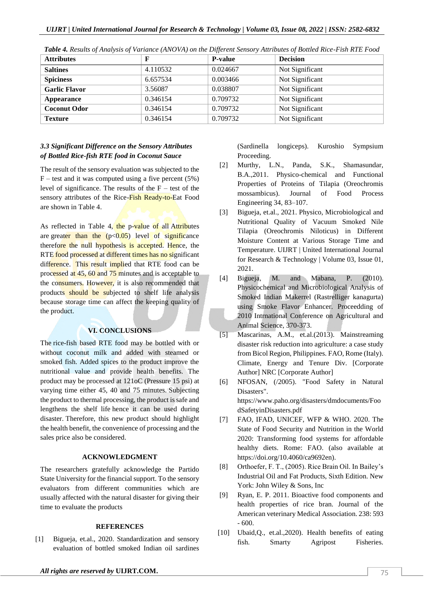| <b>Attributes</b>    | F        | <b>P-value</b> | <b>Decision</b> |
|----------------------|----------|----------------|-----------------|
| <b>Saltines</b>      | 4.110532 | 0.024667       | Not Significant |
| <b>Spiciness</b>     | 6.657534 | 0.003466       | Not Significant |
| <b>Garlic Flavor</b> | 3.56087  | 0.038807       | Not Significant |
| Appearance           | 0.346154 | 0.709732       | Not Significant |
| <b>Coconut Odor</b>  | 0.346154 | 0.709732       | Not Significant |
| <b>Texture</b>       | 0.346154 | 0.709732       | Not Significant |

*Table 4. Results of Analysis of Variance (ANOVA) on the Different Sensory Attributes of Bottled Rice-Fish RTE Food*

## *3.3 Significant Difference on the Sensory Attributes of Bottled Rice-fish RTE food in Coconut Sauce*

The result of the sensory evaluation was subjected to the  $F$  – test and it was computed using a five percent (5%) level of significance. The results of the  $F -$  test of the sensory attributes of the Rice-Fish Ready-to-Eat Food are shown in Table 4.

As reflected in Table  $4\sqrt{\frac{h}{\epsilon}}$  p-value of all Attributes are greater than the  $(p<0.05)$  level of significance therefore the null hypothesis is accepted. Hence, the RTE food processed at different times has no significant difference. This result implied that RTE food can be processed at 45, 60 and 75 minutes and is acceptable to the consumers. However, it is also recommended that products should be subjected to shelf life analysis because storage time can affect the keeping quality of the product.

## **VI. CONCLUSIONS**

The rice-fish based RTE food may be bottled with or without coconut milk and added with steamed or smoked fish. Added spices to the product improve the nutritional value and provide health benefits. The product may be processed at 121oC (Pressure 15 psi) at varying time either 45, 40 and 75 minutes. Subjecting the product to thermal processing, the product is safe and lengthens the shelf life hence it can be used during disaster. Therefore, this new product should highlight the health benefit, the convenience of processing and the sales price also be considered.

### **ACKNOWLEDGMENT**

The researchers gratefully acknowledge the Partido State University for the financial support. To the sensory evaluators from different communities which are usually affected with the natural disaster for giving their time to evaluate the products

#### **REFERENCES**

[1] Bigueja, et.al., 2020. Standardization and sensory evaluation of bottled smoked Indian oil sardines (Sardinella longiceps). Kuroshio Sympsium Proceeding.

- [2] Murthy, L.N., Panda, S.K., Shamasundar, B.A.,2011. Physico-chemical and Functional Properties of Proteins of Tilapia (Oreochromis mossambicus). Journal of Food Process Engineering 34, 83–107.
- [3] Bigueja, et.al., 2021. Physico, Microbiological and Nutritional Quality of Vacuum Smoked Nile Tilapia (Oreochromis Niloticus) in Different Moisture Content at Various Storage Time and Temperature. UIJRT | United International Journal for Research & Technology | Volume 03, Issue 01, 2021.
- [4] Bigueja, M. and Mabana, P. (2010). Physicochemical and Microbiological Analysis of Smoked Indian Makerrel (Rastrelliger kanagurta) using Smoke Flavor Enhancer. Proceedding of 2010 Intrnational Conference on Agricultural and Animal Science, 370-373.
- [5] Mascarinas, A.M., et.al.(2013). Mainstreaming disaster risk reduction into agriculture: a case study from Bicol Region, Philippines. FAO, Rome (Italy). Climate, Energy and Tenure Div. [Corporate Author] NRC [Corporate Author]
- [6] NFOSAN, (/2005). "Food Safety in Natural Disasters". https://www.paho.org/disasters/dmdocuments/Foo dSafetyinDisasters.pdf
- [7] FAO, IFAD, UNICEF, WFP & WHO. 2020. The State of Food Security and Nutrition in the World 2020: Transforming food systems for affordable healthy diets. Rome: FAO. (also available at https://doi.org/10.4060/ca9692en).
- [8] Orthoefer, F. T., (2005). Rice Brain Oil. In Bailey's Industrial Oil and Fat Products, Sixth Edition. New York: John Wiley & Sons, Inc
- [9] Ryan, E. P. 2011. Bioactive food components and health properties of rice bran. Journal of the American veterinary Medical Association. 238: 593 - 600.
- [10] Ubaid,Q., et.al.,2020). Health benefits of eating fish. Smarty Agripost Fisheries.